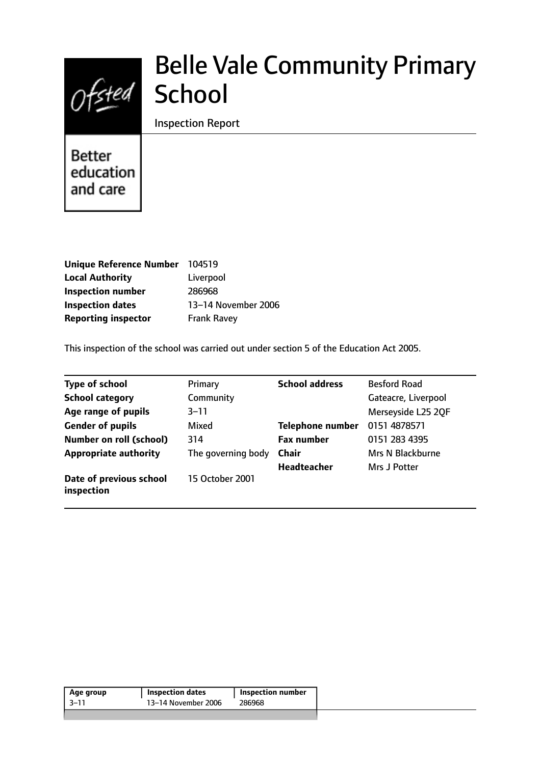

# Belle Vale Community Primary **School**

Inspection Report

**Better** education and care

| <b>Unique Reference Number</b> | 104519              |
|--------------------------------|---------------------|
| <b>Local Authority</b>         | Liverpool           |
| <b>Inspection number</b>       | 286968              |
| <b>Inspection dates</b>        | 13-14 November 2006 |
| <b>Reporting inspector</b>     | <b>Frank Ravey</b>  |

This inspection of the school was carried out under section 5 of the Education Act 2005.

| <b>Type of school</b>                 | Primary            | <b>School address</b>   | <b>Besford Road</b> |
|---------------------------------------|--------------------|-------------------------|---------------------|
| <b>School category</b>                | Community          |                         | Gateacre, Liverpool |
| Age range of pupils                   | 3–11               |                         | Merseyside L25 2QF  |
| <b>Gender of pupils</b>               | Mixed              | <b>Telephone number</b> | 0151 4878571        |
| <b>Number on roll (school)</b>        | 314                | <b>Fax number</b>       | 0151 283 4395       |
| <b>Appropriate authority</b>          | The governing body | <b>Chair</b>            | Mrs N Blackburne    |
|                                       |                    | <b>Headteacher</b>      | Mrs J Potter        |
| Date of previous school<br>inspection | 15 October 2001    |                         |                     |

| Age group | <b>Inspection dates</b> | Inspection number |
|-----------|-------------------------|-------------------|
| -3–11     | 13–14 November 2006     | 286968            |
|           |                         |                   |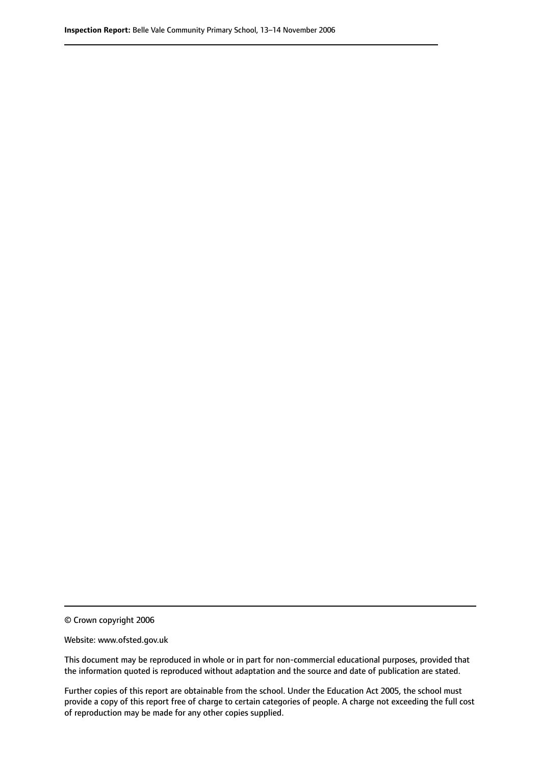© Crown copyright 2006

Website: www.ofsted.gov.uk

This document may be reproduced in whole or in part for non-commercial educational purposes, provided that the information quoted is reproduced without adaptation and the source and date of publication are stated.

Further copies of this report are obtainable from the school. Under the Education Act 2005, the school must provide a copy of this report free of charge to certain categories of people. A charge not exceeding the full cost of reproduction may be made for any other copies supplied.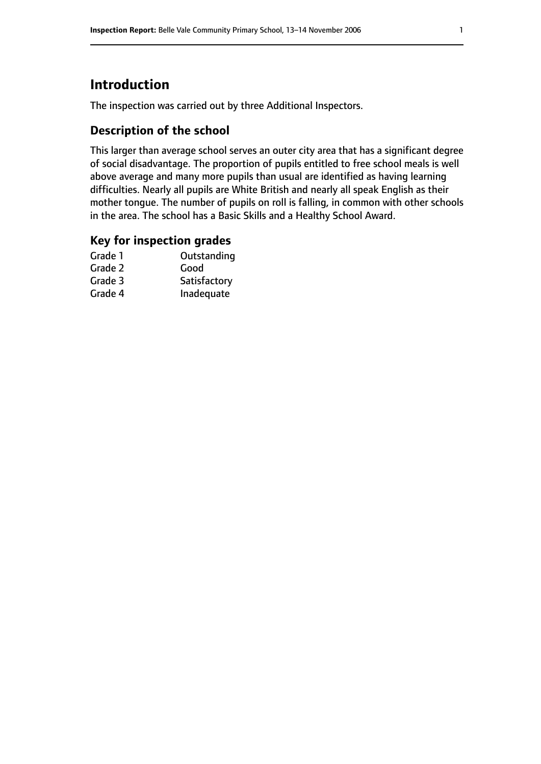### **Introduction**

The inspection was carried out by three Additional Inspectors.

### **Description of the school**

This larger than average school serves an outer city area that has a significant degree of social disadvantage. The proportion of pupils entitled to free school meals is well above average and many more pupils than usual are identified as having learning difficulties. Nearly all pupils are White British and nearly all speak English as their mother tongue. The number of pupils on roll is falling, in common with other schools in the area. The school has a Basic Skills and a Healthy School Award.

### **Key for inspection grades**

| Grade 1 | Outstanding  |
|---------|--------------|
| Grade 2 | Good         |
| Grade 3 | Satisfactory |
| Grade 4 | Inadequate   |
|         |              |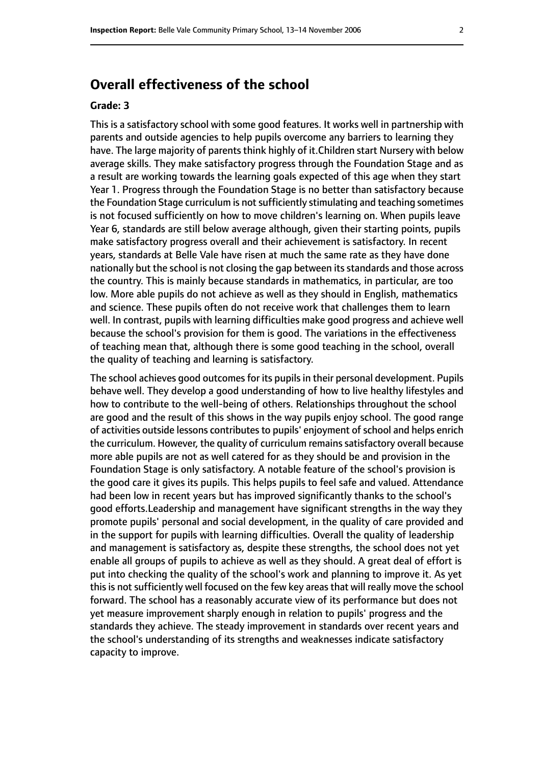### **Overall effectiveness of the school**

#### **Grade: 3**

This is a satisfactory school with some good features. It works well in partnership with parents and outside agencies to help pupils overcome any barriers to learning they have. The large majority of parents think highly of it.Children start Nursery with below average skills. They make satisfactory progress through the Foundation Stage and as a result are working towards the learning goals expected of this age when they start Year 1. Progress through the Foundation Stage is no better than satisfactory because the Foundation Stage curriculum is not sufficiently stimulating and teaching sometimes is not focused sufficiently on how to move children's learning on. When pupils leave Year 6, standards are still below average although, given their starting points, pupils make satisfactory progress overall and their achievement is satisfactory. In recent years, standards at Belle Vale have risen at much the same rate as they have done nationally but the school is not closing the gap between its standards and those across the country. This is mainly because standards in mathematics, in particular, are too low. More able pupils do not achieve as well as they should in English, mathematics and science. These pupils often do not receive work that challenges them to learn well. In contrast, pupils with learning difficulties make good progress and achieve well because the school's provision for them is good. The variations in the effectiveness of teaching mean that, although there is some good teaching in the school, overall the quality of teaching and learning is satisfactory.

The school achieves good outcomes for its pupils in their personal development. Pupils behave well. They develop a good understanding of how to live healthy lifestyles and how to contribute to the well-being of others. Relationships throughout the school are good and the result of this shows in the way pupils enjoy school. The good range of activities outside lessons contributes to pupils' enjoyment of school and helps enrich the curriculum. However, the quality of curriculum remains satisfactory overall because more able pupils are not as well catered for as they should be and provision in the Foundation Stage is only satisfactory. A notable feature of the school's provision is the good care it gives its pupils. This helps pupils to feel safe and valued. Attendance had been low in recent years but has improved significantly thanks to the school's good efforts.Leadership and management have significant strengths in the way they promote pupils' personal and social development, in the quality of care provided and in the support for pupils with learning difficulties. Overall the quality of leadership and management is satisfactory as, despite these strengths, the school does not yet enable all groups of pupils to achieve as well as they should. A great deal of effort is put into checking the quality of the school's work and planning to improve it. As yet this is not sufficiently well focused on the few key areas that will really move the school forward. The school has a reasonably accurate view of its performance but does not yet measure improvement sharply enough in relation to pupils' progress and the standards they achieve. The steady improvement in standards over recent years and the school's understanding of its strengths and weaknesses indicate satisfactory capacity to improve.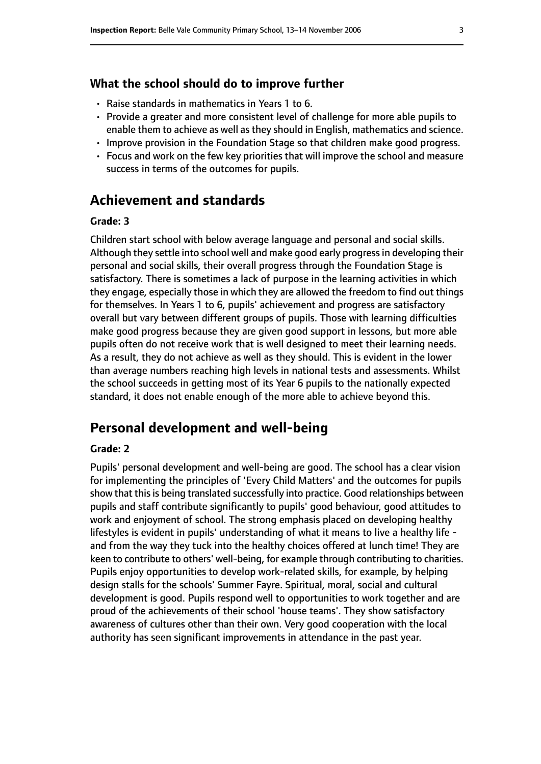#### **What the school should do to improve further**

- Raise standards in mathematics in Years 1 to 6.
- Provide a greater and more consistent level of challenge for more able pupils to enable them to achieve as well as they should in English, mathematics and science.
- Improve provision in the Foundation Stage so that children make good progress.
- Focus and work on the few key priorities that will improve the school and measure success in terms of the outcomes for pupils.

### **Achievement and standards**

#### **Grade: 3**

Children start school with below average language and personal and social skills. Although they settle into school well and make good early progressin developing their personal and social skills, their overall progress through the Foundation Stage is satisfactory. There is sometimes a lack of purpose in the learning activities in which they engage, especially those in which they are allowed the freedom to find out things for themselves. In Years 1 to 6, pupils' achievement and progress are satisfactory overall but vary between different groups of pupils. Those with learning difficulties make good progress because they are given good support in lessons, but more able pupils often do not receive work that is well designed to meet their learning needs. As a result, they do not achieve as well as they should. This is evident in the lower than average numbers reaching high levels in national tests and assessments. Whilst the school succeeds in getting most of its Year 6 pupils to the nationally expected standard, it does not enable enough of the more able to achieve beyond this.

### **Personal development and well-being**

#### **Grade: 2**

Pupils' personal development and well-being are good. The school has a clear vision for implementing the principles of 'Every Child Matters' and the outcomes for pupils show that this is being translated successfully into practice. Good relationships between pupils and staff contribute significantly to pupils' good behaviour, good attitudes to work and enjoyment of school. The strong emphasis placed on developing healthy lifestyles is evident in pupils' understanding of what it means to live a healthy life and from the way they tuck into the healthy choices offered at lunch time! They are keen to contribute to others' well-being, for example through contributing to charities. Pupils enjoy opportunities to develop work-related skills, for example, by helping design stalls for the schools' Summer Fayre. Spiritual, moral, social and cultural development is good. Pupils respond well to opportunities to work together and are proud of the achievements of their school 'house teams'. They show satisfactory awareness of cultures other than their own. Very good cooperation with the local authority has seen significant improvements in attendance in the past year.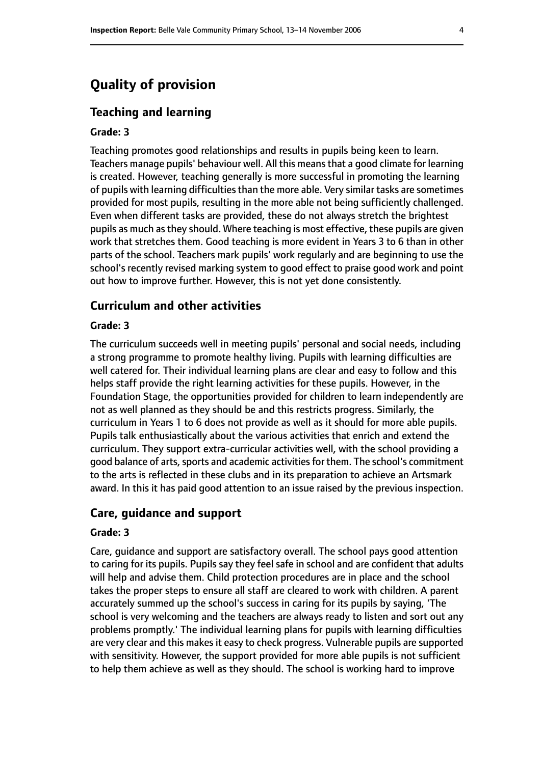### **Quality of provision**

#### **Teaching and learning**

#### **Grade: 3**

Teaching promotes good relationships and results in pupils being keen to learn. Teachers manage pupils' behaviour well. All this means that a good climate for learning is created. However, teaching generally is more successful in promoting the learning of pupils with learning difficulties than the more able. Very similar tasks are sometimes provided for most pupils, resulting in the more able not being sufficiently challenged. Even when different tasks are provided, these do not always stretch the brightest pupils as much as they should. Where teaching is most effective, these pupils are given work that stretches them. Good teaching is more evident in Years 3 to 6 than in other parts of the school. Teachers mark pupils' work regularly and are beginning to use the school's recently revised marking system to good effect to praise good work and point out how to improve further. However, this is not yet done consistently.

#### **Curriculum and other activities**

#### **Grade: 3**

The curriculum succeeds well in meeting pupils' personal and social needs, including a strong programme to promote healthy living. Pupils with learning difficulties are well catered for. Their individual learning plans are clear and easy to follow and this helps staff provide the right learning activities for these pupils. However, in the Foundation Stage, the opportunities provided for children to learn independently are not as well planned as they should be and this restricts progress. Similarly, the curriculum in Years 1 to 6 does not provide as well as it should for more able pupils. Pupils talk enthusiastically about the various activities that enrich and extend the curriculum. They support extra-curricular activities well, with the school providing a good balance of arts, sports and academic activities for them. The school's commitment to the arts is reflected in these clubs and in its preparation to achieve an Artsmark award. In this it has paid good attention to an issue raised by the previous inspection.

#### **Care, guidance and support**

#### **Grade: 3**

Care, guidance and support are satisfactory overall. The school pays good attention to caring for its pupils. Pupils say they feel safe in school and are confident that adults will help and advise them. Child protection procedures are in place and the school takes the proper steps to ensure all staff are cleared to work with children. A parent accurately summed up the school's success in caring for its pupils by saying, 'The school is very welcoming and the teachers are always ready to listen and sort out any problems promptly.' The individual learning plans for pupils with learning difficulties are very clear and this makes it easy to check progress. Vulnerable pupils are supported with sensitivity. However, the support provided for more able pupils is not sufficient to help them achieve as well as they should. The school is working hard to improve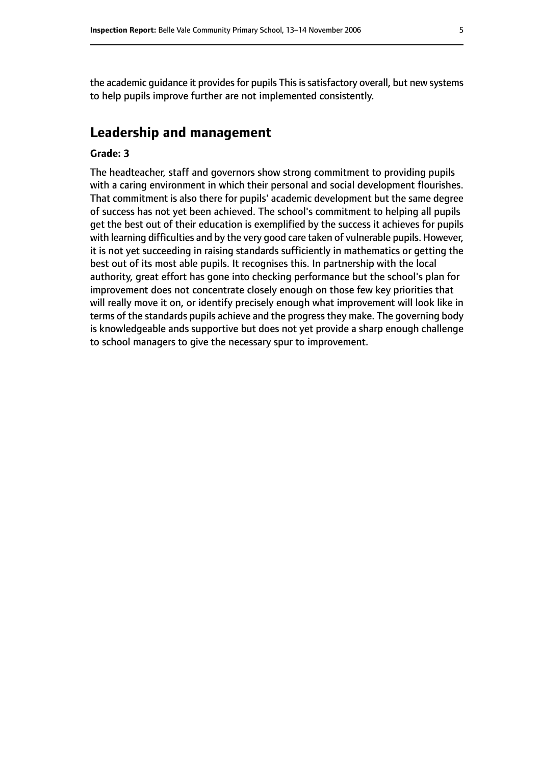the academic quidance it provides for pupils This is satisfactory overall, but new systems to help pupils improve further are not implemented consistently.

### **Leadership and management**

#### **Grade: 3**

The headteacher, staff and governors show strong commitment to providing pupils with a caring environment in which their personal and social development flourishes. That commitment is also there for pupils' academic development but the same degree of success has not yet been achieved. The school's commitment to helping all pupils get the best out of their education is exemplified by the success it achieves for pupils with learning difficulties and by the very good care taken of vulnerable pupils. However, it is not yet succeeding in raising standards sufficiently in mathematics or getting the best out of its most able pupils. It recognises this. In partnership with the local authority, great effort has gone into checking performance but the school's plan for improvement does not concentrate closely enough on those few key priorities that will really move it on, or identify precisely enough what improvement will look like in terms of the standards pupils achieve and the progress they make. The governing body is knowledgeable ands supportive but does not yet provide a sharp enough challenge to school managers to give the necessary spur to improvement.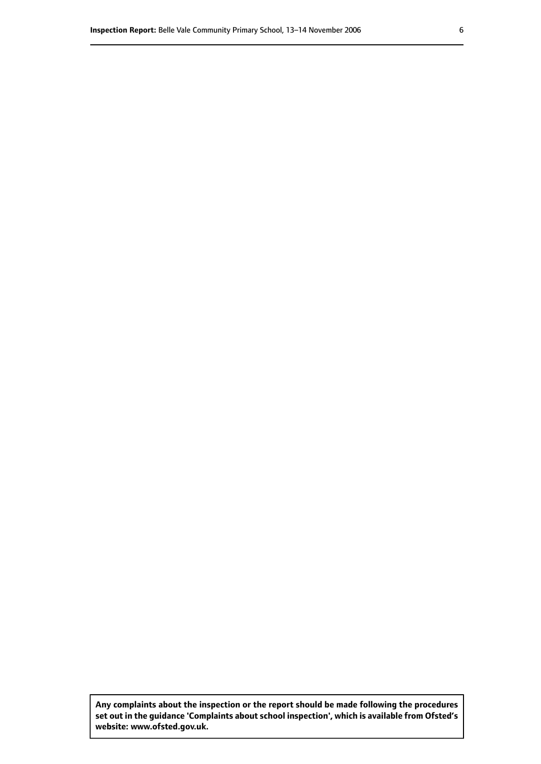**Any complaints about the inspection or the report should be made following the procedures set out inthe guidance 'Complaints about school inspection', whichis available from Ofsted's website: www.ofsted.gov.uk.**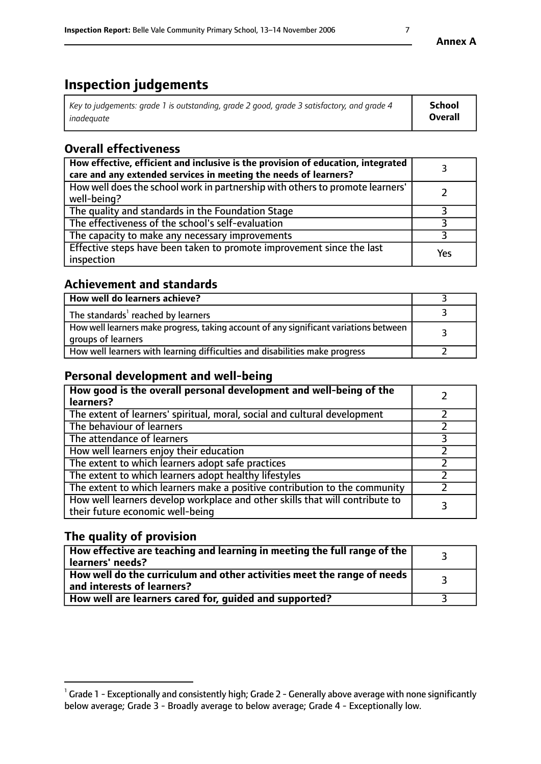### **Inspection judgements**

| Key to judgements: grade 1 is outstanding, grade 2 good, grade 3 satisfactory, and grade 4 | <b>School</b>  |
|--------------------------------------------------------------------------------------------|----------------|
| inadeauate                                                                                 | <b>Overall</b> |

### **Overall effectiveness**

| How effective, efficient and inclusive is the provision of education, integrated<br>care and any extended services in meeting the needs of learners? |     |
|------------------------------------------------------------------------------------------------------------------------------------------------------|-----|
| How well does the school work in partnership with others to promote learners'<br>well-being?                                                         |     |
| The quality and standards in the Foundation Stage                                                                                                    |     |
| The effectiveness of the school's self-evaluation                                                                                                    |     |
| The capacity to make any necessary improvements                                                                                                      |     |
| Effective steps have been taken to promote improvement since the last<br>inspection                                                                  | Yes |

### **Achievement and standards**

| How well do learners achieve?                                                                               |  |
|-------------------------------------------------------------------------------------------------------------|--|
| The standards <sup>1</sup> reached by learners                                                              |  |
| How well learners make progress, taking account of any significant variations between<br>groups of learners |  |
| How well learners with learning difficulties and disabilities make progress                                 |  |

### **Personal development and well-being**

| How good is the overall personal development and well-being of the<br>learners?                                  |  |
|------------------------------------------------------------------------------------------------------------------|--|
| The extent of learners' spiritual, moral, social and cultural development                                        |  |
| The behaviour of learners                                                                                        |  |
| The attendance of learners                                                                                       |  |
| How well learners enjoy their education                                                                          |  |
| The extent to which learners adopt safe practices                                                                |  |
| The extent to which learners adopt healthy lifestyles                                                            |  |
| The extent to which learners make a positive contribution to the community                                       |  |
| How well learners develop workplace and other skills that will contribute to<br>their future economic well-being |  |

### **The quality of provision**

| How effective are teaching and learning in meeting the full range of the<br>learners' needs?          |  |
|-------------------------------------------------------------------------------------------------------|--|
| How well do the curriculum and other activities meet the range of needs<br>and interests of learners? |  |
| How well are learners cared for, guided and supported?                                                |  |

 $^1$  Grade 1 - Exceptionally and consistently high; Grade 2 - Generally above average with none significantly below average; Grade 3 - Broadly average to below average; Grade 4 - Exceptionally low.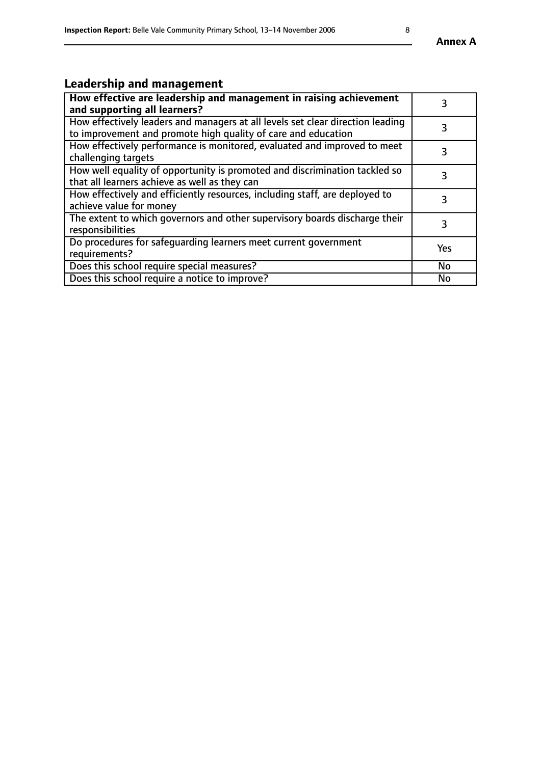## **Leadership and management**

| How effective are leadership and management in raising achievement<br>and supporting all learners?                                              | 3         |
|-------------------------------------------------------------------------------------------------------------------------------------------------|-----------|
| How effectively leaders and managers at all levels set clear direction leading<br>to improvement and promote high quality of care and education |           |
| How effectively performance is monitored, evaluated and improved to meet<br>challenging targets                                                 | 3         |
| How well equality of opportunity is promoted and discrimination tackled so<br>that all learners achieve as well as they can                     |           |
| How effectively and efficiently resources, including staff, are deployed to<br>achieve value for money                                          | 3         |
| The extent to which governors and other supervisory boards discharge their<br>responsibilities                                                  | 3         |
| Do procedures for safequarding learners meet current government<br>requirements?                                                                | Yes       |
| Does this school require special measures?                                                                                                      | No        |
| Does this school require a notice to improve?                                                                                                   | <b>No</b> |